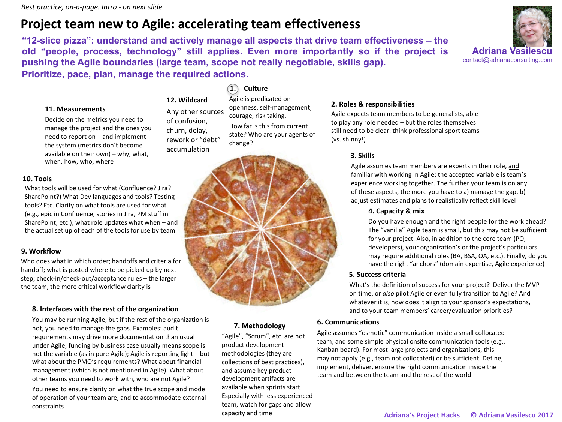# **Project team new to Agile: accelerating team effectiveness**

**12. Wildcard** Any other sources of confusion, churn, delay, rework or "debt"

**"12-slice pizza": understand and actively manage all aspects that drive team effectiveness – the old "people, process, technology" still applies. Even more importantly so if the project is pushing the Agile boundaries (large team, scope not really negotiable, skills gap). Prioritize, pace, plan, manage the required actions.**



### **11. Measurements**

Decide on the metrics you need to manage the project and the ones you need to report on – and implement the system (metrics don't become available on their own) – why, what, when, how, who, where

#### **10. Tools**

What tools will be used for what (Confluence? Jira? SharePoint?) What Dev languages and tools? Testing tools? Etc. Clarity on what tools are used for what (e.g., epic in Confluence, stories in Jira, PM stuff in SharePoint, etc.), what role updates what when – and the actual set up of each of the tools for use by team

#### **9. Workflow**

Who does what in which order; handoffs and criteria for handoff; what is posted where to be picked up by next step; check-in/check-out/acceptance rules – the larger the team, the more critical workflow clarity is

### **8. Interfaces with the rest of the organization**

You may be running Agile, but if the rest of the organization is not, you need to manage the gaps. Examples: audit requirements may drive more documentation than usual under Agile; funding by business case usually means scope is not the variable (as in pure Agile); Agile is reporting light – but what about the PMO's requirements? What about financial management (which is not mentioned in Agile). What about other teams you need to work with, who are not Agile? You need to ensure clarity on what the true scope and mode of operation of your team are, and to accommodate external constraints

## **1. Culture**

Agile is predicated on openness, self-management, courage, risk taking. How far is this from current state? Who are your agents of change?

#### **2. Roles & responsibilities** Agile expects team members to be generalists, able

to play any role needed – but the roles themselves still need to be clear: think professional sport teams (vs. shinny!)

### **3. Skills**

Agile assumes team members are experts in their role, and familiar with working in Agile; the accepted variable is team's experience working together. The further your team is on any of these aspects, the more you have to a) manage the gap, b) adjust estimates and plans to realistically reflect skill level

### **4. Capacity & mix**

Do you have enough and the right people for the work ahead? The "vanilla" Agile team is small, but this may not be sufficient for your project. Also, in addition to the core team (PO, developers), your organization's or the project's particulars may require additional roles (BA, BSA, QA, etc.). Finally, do you have the right "anchors" (domain expertise, Agile experience)

### **5. Success criteria**

What's the definition of success for your project? Deliver the MVP on time, or *also* pilot Agile or even fully transition to Agile? And whatever it is, how does it align to your sponsor's expectations, and to your team members' career/evaluation priorities?

### **6. Communications**

Agile assumes "osmotic" communication inside a small collocated team, and some simple physical onsite communication tools (e.g., Kanban board). For most large projects and organizations, this may not apply (e.g., team not collocated) or be sufficient. Define, implement, deliver, ensure the right communication inside the team and between the team and the rest of the world



**7. Methodology**

capacity and time

"Agile", "Scrum", etc. are not product development methodologies (they are collections of best practices), and assume key product development artifacts are available when sprints start. Especially with less experienced team, watch for gaps and allow